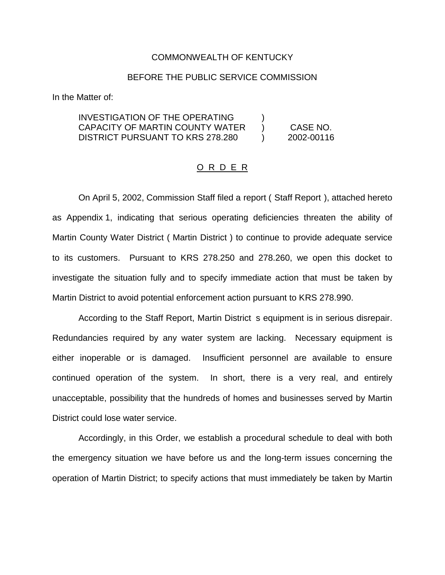#### COMMONWEALTH OF KENTUCKY

### BEFORE THE PUBLIC SERVICE COMMISSION

In the Matter of:

## INVESTIGATION OF THE OPERATING ) CAPACITY OF MARTIN COUNTY WATER ) CASE NO. DISTRICT PURSUANT TO KRS 278.280 (2002-00116

### O R D E R

On April 5, 2002, Commission Staff filed a report ( Staff Report ), attached hereto as Appendix 1, indicating that serious operating deficiencies threaten the ability of Martin County Water District ( Martin District ) to continue to provide adequate service to its customers. Pursuant to KRS 278.250 and 278.260, we open this docket to investigate the situation fully and to specify immediate action that must be taken by Martin District to avoid potential enforcement action pursuant to KRS 278.990.

According to the Staff Report, Martin District s equipment is in serious disrepair. Redundancies required by any water system are lacking. Necessary equipment is either inoperable or is damaged. Insufficient personnel are available to ensure continued operation of the system. In short, there is a very real, and entirely unacceptable, possibility that the hundreds of homes and businesses served by Martin District could lose water service.

Accordingly, in this Order, we establish a procedural schedule to deal with both the emergency situation we have before us and the long-term issues concerning the operation of Martin District; to specify actions that must immediately be taken by Martin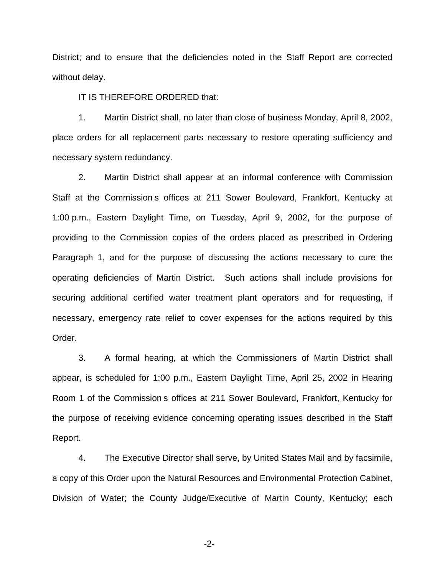District; and to ensure that the deficiencies noted in the Staff Report are corrected without delay.

IT IS THEREFORE ORDERED that:

1. Martin District shall, no later than close of business Monday, April 8, 2002, place orders for all replacement parts necessary to restore operating sufficiency and necessary system redundancy.

2. Martin District shall appear at an informal conference with Commission Staff at the Commission s offices at 211 Sower Boulevard, Frankfort, Kentucky at 1:00 p.m., Eastern Daylight Time, on Tuesday, April 9, 2002, for the purpose of providing to the Commission copies of the orders placed as prescribed in Ordering Paragraph 1, and for the purpose of discussing the actions necessary to cure the operating deficiencies of Martin District. Such actions shall include provisions for securing additional certified water treatment plant operators and for requesting, if necessary, emergency rate relief to cover expenses for the actions required by this Order.

3. A formal hearing, at which the Commissioners of Martin District shall appear, is scheduled for 1:00 p.m., Eastern Daylight Time, April 25, 2002 in Hearing Room 1 of the Commission s offices at 211 Sower Boulevard, Frankfort, Kentucky for the purpose of receiving evidence concerning operating issues described in the Staff Report.

4. The Executive Director shall serve, by United States Mail and by facsimile, a copy of this Order upon the Natural Resources and Environmental Protection Cabinet, Division of Water; the County Judge/Executive of Martin County, Kentucky; each

-2-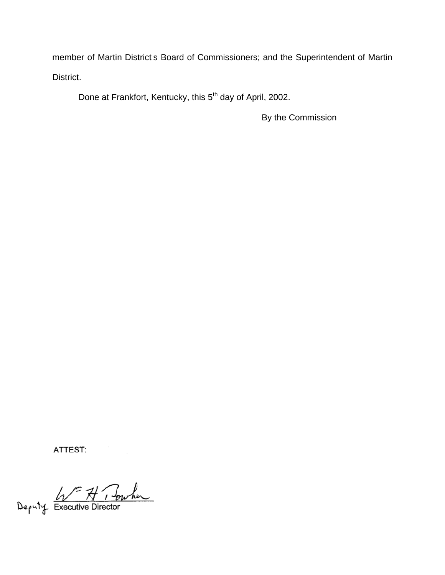member of Martin District s Board of Commissioners; and the Superintendent of Martin District.

Done at Frankfort, Kentucky, this 5<sup>th</sup> day of April, 2002.

By the Commission

ATTEST:

Deputy Executive Director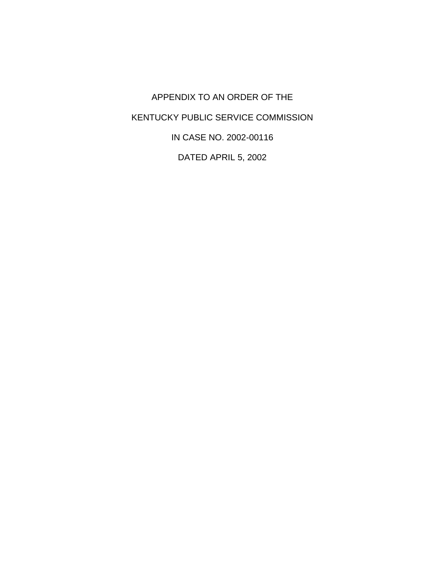APPENDIX TO AN ORDER OF THE KENTUCKY PUBLIC SERVICE COMMISSION IN CASE NO. 2002-00116 DATED APRIL 5, 2002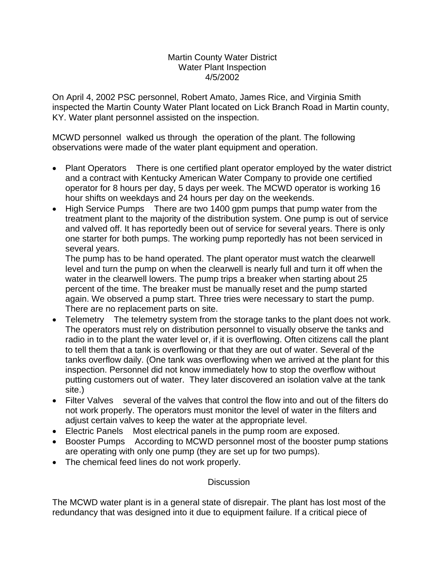## Martin County Water District Water Plant Inspection 4/5/2002

On April 4, 2002 PSC personnel, Robert Amato, James Rice, and Virginia Smith inspected the Martin County Water Plant located on Lick Branch Road in Martin county, KY. Water plant personnel assisted on the inspection.

MCWD personnel walked us through the operation of the plant. The following observations were made of the water plant equipment and operation.

- Plant Operators There is one certified plant operator employed by the water district and a contract with Kentucky American Water Company to provide one certified operator for 8 hours per day, 5 days per week. The MCWD operator is working 16 hour shifts on weekdays and 24 hours per day on the weekends.
- High Service Pumps There are two 1400 gpm pumps that pump water from the treatment plant to the majority of the distribution system. One pump is out of service and valved off. It has reportedly been out of service for several years. There is only one starter for both pumps. The working pump reportedly has not been serviced in several years.

The pump has to be hand operated. The plant operator must watch the clearwell level and turn the pump on when the clearwell is nearly full and turn it off when the water in the clearwell lowers. The pump trips a breaker when starting about 25 percent of the time. The breaker must be manually reset and the pump started again. We observed a pump start. Three tries were necessary to start the pump. There are no replacement parts on site.

- ∑ Telemetry The telemetry system from the storage tanks to the plant does not work. The operators must rely on distribution personnel to visually observe the tanks and radio in to the plant the water level or, if it is overflowing. Often citizens call the plant to tell them that a tank is overflowing or that they are out of water. Several of the tanks overflow daily. (One tank was overflowing when we arrived at the plant for this inspection. Personnel did not know immediately how to stop the overflow without putting customers out of water. They later discovered an isolation valve at the tank site.)
- ∑ Filter Valves several of the valves that control the flow into and out of the filters do not work properly. The operators must monitor the level of water in the filters and adjust certain valves to keep the water at the appropriate level.
- Electric Panels Most electrical panels in the pump room are exposed.
- Booster Pumps According to MCWD personnel most of the booster pump stations are operating with only one pump (they are set up for two pumps).
- The chemical feed lines do not work properly.

# **Discussion**

The MCWD water plant is in a general state of disrepair. The plant has lost most of the redundancy that was designed into it due to equipment failure. If a critical piece of